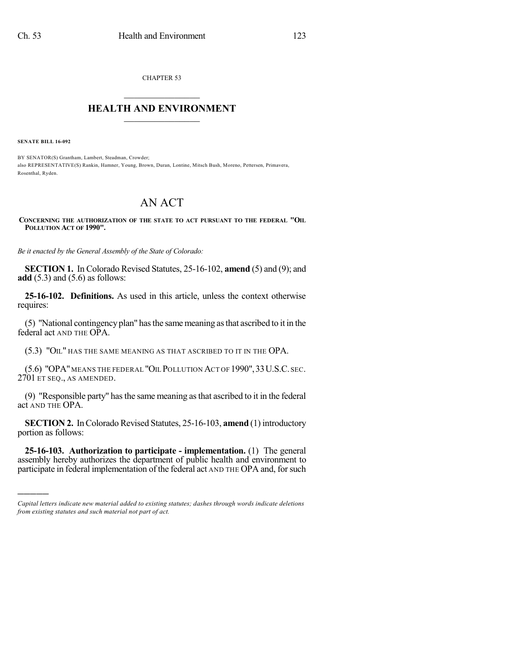CHAPTER 53

## $\overline{\phantom{a}}$  . The set of the set of the set of the set of the set of the set of the set of the set of the set of the set of the set of the set of the set of the set of the set of the set of the set of the set of the set o **HEALTH AND ENVIRONMENT**  $\_$

**SENATE BILL 16-092**

)))))

BY SENATOR(S) Grantham, Lambert, Steadman, Crowder; also REPRESENTATIVE(S) Rankin, Hamner, Young, Brown, Duran, Lontine, Mitsch Bush, Moreno, Pettersen, Primavera, Rosenthal, Ryden.

## AN ACT

## **CONCERNING THE AUTHORIZATION OF THE STATE TO ACT PURSUANT TO THE FEDERAL "OIL POLLUTION ACT OF 1990".**

*Be it enacted by the General Assembly of the State of Colorado:*

**SECTION 1.** In Colorado Revised Statutes, 25-16-102, **amend** (5) and (9); and **add** (5.3) and (5.6) as follows:

**25-16-102. Definitions.** As used in this article, unless the context otherwise requires:

(5) "National contingency plan" hasthe same meaning asthat ascribed to it in the federal act AND THE OPA.

(5.3) "OIL" HAS THE SAME MEANING AS THAT ASCRIBED TO IT IN THE OPA.

(5.6) "OPA"MEANS THE FEDERAL "OIL POLLUTION ACT OF 1990",33U.S.C. SEC. 2701 ET SEQ., AS AMENDED.

(9) "Responsible party" has the same meaning as that ascribed to it in the federal act AND THE OPA.

**SECTION 2.** In Colorado Revised Statutes, 25-16-103, **amend** (1) introductory portion as follows:

**25-16-103. Authorization to participate - implementation.** (1) The general assembly hereby authorizes the department of public health and environment to participate in federal implementation of the federal act AND THE OPA and, for such

*Capital letters indicate new material added to existing statutes; dashes through words indicate deletions from existing statutes and such material not part of act.*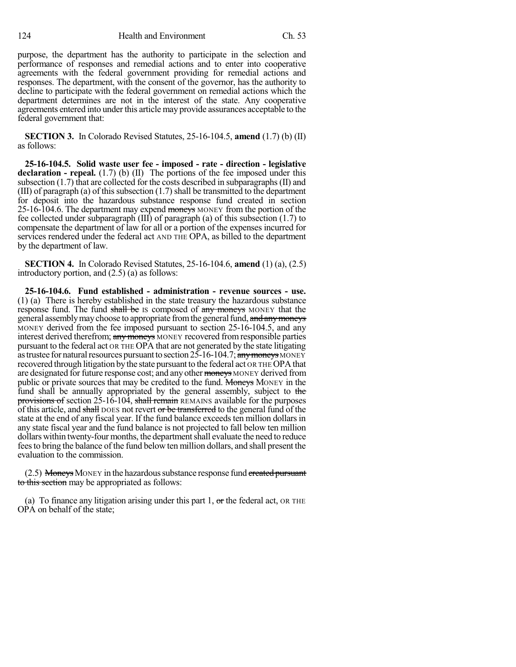purpose, the department has the authority to participate in the selection and performance of responses and remedial actions and to enter into cooperative agreements with the federal government providing for remedial actions and responses. The department, with the consent of the governor, has the authority to decline to participate with the federal government on remedial actions which the department determines are not in the interest of the state. Any cooperative agreements entered into under this article may provide assurances acceptable to the federal government that:

**SECTION 3.** In Colorado Revised Statutes, 25-16-104.5, **amend** (1.7) (b) (II) as follows:

**25-16-104.5. Solid waste user fee - imposed - rate - direction - legislative declaration - repeal.** (1.7) (b) (II) The portions of the fee imposed under this subsection (1.7) that are collected for the costs described in subparagraphs(II) and  $(III)$  of paragraph (a) of this subsection  $(1.7)$  shall be transmitted to the department for deposit into the hazardous substance response fund created in section 25-16-104.6. The department may expend moneys MONEY from the portion of the fee collected under subparagraph (III) of paragraph (a) of this subsection (1.7) to compensate the department of law for all or a portion of the expenses incurred for services rendered under the federal act AND THE OPA, as billed to the department by the department of law.

**SECTION 4.** In Colorado Revised Statutes, 25-16-104.6, **amend** (1) (a), (2.5) introductory portion, and (2.5) (a) as follows:

**25-16-104.6. Fund established - administration - revenue sources - use.** (1) (a) There is hereby established in the state treasury the hazardous substance response fund. The fund shall be IS composed of any moneys MONEY that the general assembly may choose to appropriate from the general fund, and any moneys MONEY derived from the fee imposed pursuant to section 25-16-104.5, and any interest derived therefrom; any moneys MONEY recovered from responsible parties pursuant to the federal act OR THE OPA that are not generated by the state litigating as trustee for natural resources pursuant to section  $25$ -16-104.7; any moneys MONEY recovered through litigation by the state pursuant to the federal act OR THE OPA that are designated for future response cost; and any other moneys MONEY derived from public or private sources that may be credited to the fund. Moneys MONEY in the fund shall be annually appropriated by the general assembly, subject to the provisions of section 25-16-104, shall remain REMAINS available for the purposes of this article, and shall DOES not revert or be transferred to the general fund of the state at the end of any fiscal year. If the fund balance exceeds ten million dollars in any state fiscal year and the fund balance is not projected to fall below ten million dollars within twenty-four months, the department shall evaluate the need to reduce feesto bring the balance of the fund below ten million dollars, and shall present the evaluation to the commission.

 $(2.5)$  Moneys MONEY in the hazardous substance response fund created pursuant to this section may be appropriated as follows:

(a) To finance any litigation arising under this part 1,  $\sigma$ r the federal act, OR THE OPA on behalf of the state;